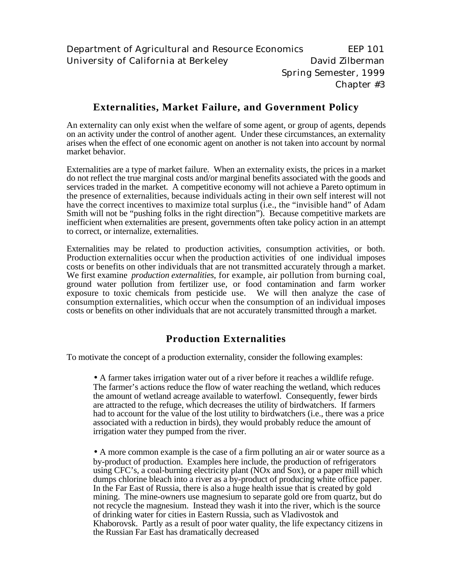# **Externalities, Market Failure, and Government Policy**

An externality can only exist when the welfare of some agent, or group of agents, depends on an activity under the control of another agent. Under these circumstances, an externality arises when the effect of one economic agent on another is not taken into account by normal market behavior.

Externalities are a type of market failure. When an externality exists, the prices in a market do not reflect the true marginal costs and/or marginal benefits associated with the goods and services traded in the market. A competitive economy will not achieve a Pareto optimum in the presence of externalities, because individuals acting in their own self interest will not have the correct incentives to maximize total surplus (i.e., the "invisible hand" of Adam Smith will not be "pushing folks in the right direction"). Because competitive markets are inefficient when externalities are present, governments often take policy action in an attempt to correct, or internalize, externalities.

Externalities may be related to production activities, consumption activities, or both. Production externalities occur when the production activities of one individual imposes costs or benefits on other individuals that are not transmitted accurately through a market. We first examine *production externalities*, for example, air pollution from burning coal, ground water pollution from fertilizer use, or food contamination and farm worker exposure to toxic chemicals from pesticide use. We will then analyze the case of consumption externalities, which occur when the consumption of an individual imposes costs or benefits on other individuals that are not accurately transmitted through a market.

# **Production Externalities**

To motivate the concept of a production externality, consider the following examples:

• A farmer takes irrigation water out of a river before it reaches a wildlife refuge. The farmer's actions reduce the flow of water reaching the wetland, which reduces the amount of wetland acreage available to waterfowl. Consequently, fewer birds are attracted to the refuge, which decreases the utility of birdwatchers. If farmers had to account for the value of the lost utility to birdwatchers (i.e., there was a price associated with a reduction in birds), they would probably reduce the amount of irrigation water they pumped from the river.

• A more common example is the case of a firm polluting an air or water source as a by-product of production. Examples here include, the production of refrigerators using CFC's, a coal-burning electricity plant (NOx and Sox), or a paper mill which dumps chlorine bleach into a river as a by-product of producing white office paper. In the Far East of Russia, there is also a huge health issue that is created by gold mining. The mine-owners use magnesium to separate gold ore from quartz, but do not recycle the magnesium. Instead they wash it into the river, which is the source of drinking water for cities in Eastern Russia, such as Vladivostok and Khaborovsk. Partly as a result of poor water quality, the life expectancy citizens in the Russian Far East has dramatically decreased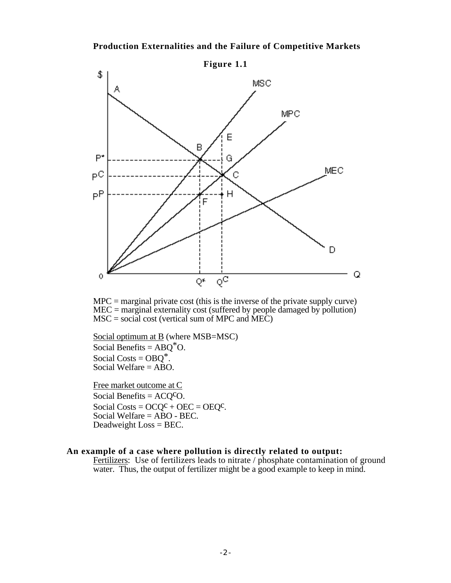#### **Production Externalities and the Failure of Competitive Markets**



 $MPC =$  marginal private cost (this is the inverse of the private supply curve)  $MEC =$  marginal externality cost (suffered by people damaged by pollution)  $MSC = social cost (vertical sum of MPC and  $\overline{MEC}$ )$ 

 Social optimum at B (where MSB=MSC) Social Benefits =  $ABQ^*O$ . Social Costs =  $OBO^*$ . Social Welfare  $=$  ABO.

Free market outcome at C Social Benefits =  $ACQ^cO$ . Social Costs =  $OCQ^C + OEC = OEQ^C$ . Social Welfare = ABO - BEC. Deadweight Loss = BEC.

# **An example of a case where pollution is directly related to output:**

Fertilizers: Use of fertilizers leads to nitrate / phosphate contamination of ground water. Thus, the output of fertilizer might be a good example to keep in mind.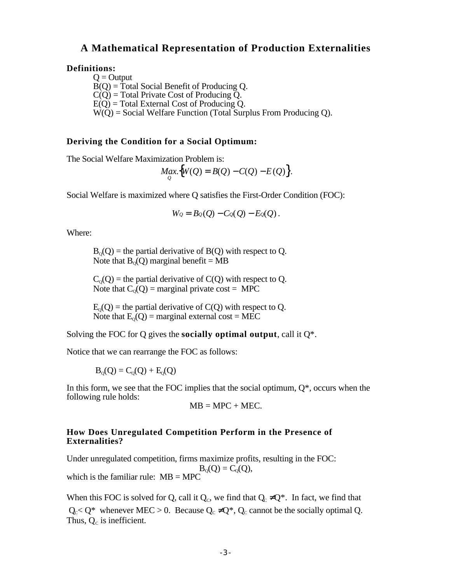# **A Mathematical Representation of Production Externalities**

#### **Definitions:**

 $Q =$ Output  $\overline{B}(O) = \overline{T}$ otal Social Benefit of Producing O.  $C(\widetilde{O})$  = Total Private Cost of Producing  $\widetilde{O}$ .  $E(Q)$  = Total External Cost of Producing Q.  $W(\tilde{O})$  = Social Welfare Function (Total Surplus From Producing O).

#### **Deriving the Condition for a Social Optimum:**

The Social Welfare Maximization Problem is:

$$
Max_{Q}\big\{W(Q) = B(Q) - C(Q) - E(Q)\big\}.
$$

Social Welfare is maximized where Q satisfies the First-Order Condition (FOC):

$$
W_Q=B_Q(Q)-C_Q(Q)-E_Q(Q).
$$

Where:

 $B_0(Q)$  = the partial derivative of B(Q) with respect to Q. Note that  $B_0(Q)$  marginal benefit = MB

 $C_0(Q)$  = the partial derivative of  $C(Q)$  with respect to Q. Note that  $C_0(Q)$  = marginal private cost = MPC

 $E_0(Q)$  = the partial derivative of C(Q) with respect to Q. Note that  $E_0(Q)$  = marginal external cost = MEC

Solving the FOC for Q gives the **socially optimal output**, call it Q\*.

Notice that we can rearrange the FOC as follows:

 $B_0(Q) = C_0(Q) + E_0(Q)$ 

In this form, we see that the FOC implies that the social optimum,  $Q^*$ , occurs when the following rule holds:

 $MB = MPC + MEC.$ 

#### **How Does Unregulated Competition Perform in the Presence of Externalities?**

Under unregulated competition, firms maximize profits, resulting in the FOC:  $B_0(Q) = C_0(Q)$ , which is the familiar rule:  $MB = MPC$ 

When this FOC is solved for Q, call it  $Q_c$ , we find that  $Q_c$   $Q^*$ . In fact, we find that  $Q_c < Q^*$  whenever MEC > 0. Because  $Q_c$   $Q^*$ ,  $Q_c$  cannot be the socially optimal Q. Thus,  $Q_c$  is inefficient.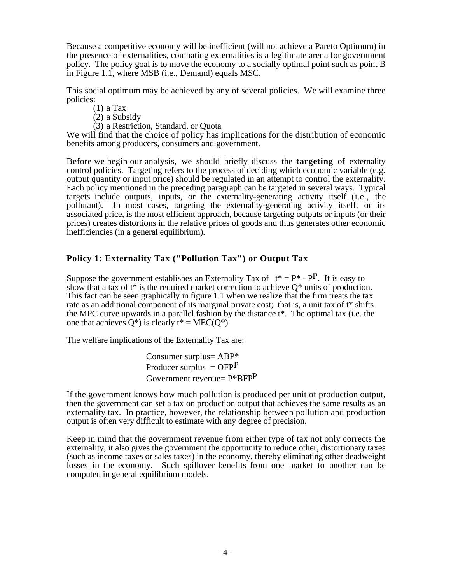Because a competitive economy will be inefficient (will not achieve a Pareto Optimum) in the presence of externalities, combating externalities is a legitimate arena for government policy. The policy goal is to move the economy to a socially optimal point such as point B in Figure 1.1, where MSB (i.e., Demand) equals MSC.

This social optimum may be achieved by any of several policies. We will examine three policies:

(1) a Tax

- (2) a Subsidy
- (3) a Restriction, Standard, or Quota

We will find that the choice of policy has implications for the distribution of economic benefits among producers, consumers and government.

Before we begin our analysis, we should briefly discuss the **targeting** of externality control policies. Targeting refers to the process of deciding which economic variable (e.g. output quantity or input price) should be regulated in an attempt to control the externality. Each policy mentioned in the preceding paragraph can be targeted in several ways. Typical targets include outputs, inputs, or the externality-generating activity itself (i.e., the pollutant). In most cases, targeting the externality-generating activity itself, or its associated price, is the most efficient approach, because targeting outputs or inputs (or their prices) creates distortions in the relative prices of goods and thus generates other economic inefficiencies (in a general equilibrium).

# **Policy 1: Externality Tax ("Pollution Tax") or Output Tax**

Suppose the government establishes an Externality Tax of  $t^* = P^* - P^P$ . It is easy to show that a tax of  $t^*$  is the required market correction to achieve  $O^*$  units of production. This fact can be seen graphically in figure 1.1 when we realize that the firm treats the tax rate as an additional component of its marginal private cost; that is, a unit tax of t<sup>\*</sup> shifts the MPC curve upwards in a parallel fashion by the distance  $t^*$ . The optimal tax (i.e. the one that achieves  $Q^*$ ) is clearly  $t^* = MEC(Q^*)$ .

The welfare implications of the Externality Tax are:

Consumer surplus= ABP\* Producer surplus  $=$  OFP<sup>P</sup> Government revenue= P\*BFPP

If the government knows how much pollution is produced per unit of production output, then the government can set a tax on production output that achieves the same results as an externality tax. In practice, however, the relationship between pollution and production output is often very difficult to estimate with any degree of precision.

Keep in mind that the government revenue from either type of tax not only corrects the externality, it also gives the government the opportunity to reduce other, distortionary taxes (such as income taxes or sales taxes) in the economy, thereby eliminating other deadweight losses in the economy. Such spillover benefits from one market to another can be computed in general equilibrium models.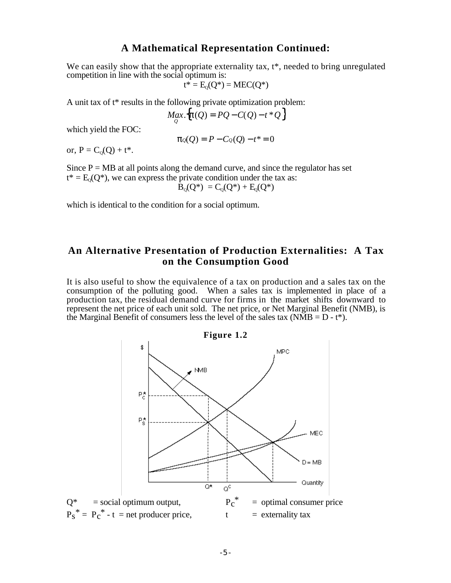# **A Mathematical Representation Continued:**

We can easily show that the appropriate externality tax,  $t^*$ , needed to bring unregulated competition in line with the social optimum is:

$$
t^* = E_Q(Q^*) = MEC(Q^*)
$$

A unit tax of t\* results in the following private optimization problem:

$$
Max_{Q} \{ (Q) = PQ - C(Q) - t \cdot Q \}
$$

which yield the FOC:

$$
\varrho(Q) = P - C\varrho(Q) - t^* = 0
$$

or,  $P = C_0(0) + t^*$ .

Since  $P = MB$  at all points along the demand curve, and since the regulator has set  $t^* = E_0(Q^*)$ , we can express the private condition under the tax as:

$$
B_{Q}(Q^{*}) = C_{Q}(Q^{*}) + E_{Q}(Q^{*})
$$

which is identical to the condition for a social optimum.

# **An Alternative Presentation of Production Externalities: A Tax on the Consumption Good**

It is also useful to show the equivalence of a tax on production and a sales tax on the consumption of the polluting good. When a sales tax is implemented in place of a production tax, the residual demand curve for firms in the market shifts downward to represent the net price of each unit sold. The net price, or Net Marginal Benefit (NMB), is the Marginal Benefit of consumers less the level of the sales tax ( $NMB = D - t^*$ ).

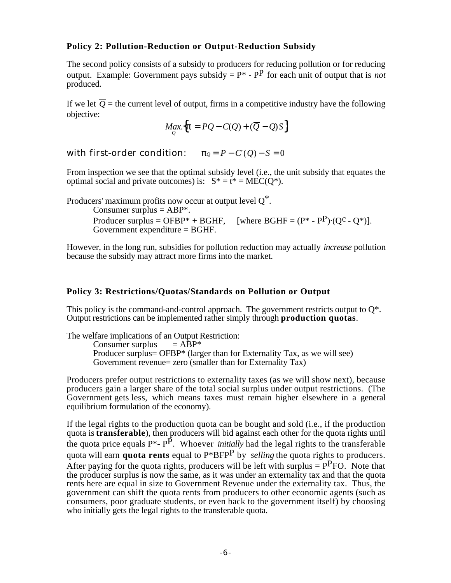# **Policy 2: Pollution-Reduction or Output-Reduction Subsidy**

The second policy consists of a subsidy to producers for reducing pollution or for reducing output. Example: Government pays subsidy  $= P^* - P^*$  for each unit of output that is *not* produced.

If we let  $\overline{O}$  = the current level of output, firms in a competitive industry have the following objective:

$$
Max_{Q} \{ = PQ - C(Q) + (\overline{Q} - Q)S \}
$$

with first-order condition:  $Q = P - C'(Q) - S = 0$ 

From inspection we see that the optimal subsidy level (i.e., the unit subsidy that equates the optimal social and private outcomes) is:  $S^* = t^* = MEC(O^*)$ .

Producers' maximum profits now occur at output level  $O^*$ . Consumer surplus  $=$  ABP\*. Producer surplus = OFBP\* + BGHF, [where BGHF =  $(P^* - P^P) \cdot (Q^C - Q^*)$ ]. Government expenditure  $=$  BGHF.

However, in the long run, subsidies for pollution reduction may actually *increase* pollution because the subsidy may attract more firms into the market.

# **Policy 3: Restrictions/Quotas/Standards on Pollution or Output**

This policy is the command-and-control approach. The government restricts output to  $O^*$ . Output restrictions can be implemented rather simply through **production quotas**.

The welfare implications of an Output Restriction:<br>  $\text{Consumer surplus} = \text{ABP*}$ 

Consumer surplus Producer surplus= OFBP\* (larger than for Externality Tax, as we will see) Government revenue= zero (smaller than for Externality Tax)

Producers prefer output restrictions to externality taxes (as we will show next), because producers gain a larger share of the total social surplus under output restrictions. (The Government gets less, which means taxes must remain higher elsewhere in a general equilibrium formulation of the economy).

If the legal rights to the production quota can be bought and sold (i.e., if the production quota is **transferable**), then producers will bid against each other for the quota rights until the quota price equals P\*- PP. Whoever *initially* had the legal rights to the transferable quota will earn **quota rents** equal to P\*BFPP by *selling* the quota rights to producers. After paying for the quota rights, producers will be left with surplus  $= P<sup>P</sup>FO$ . Note that the producer surplus is now the same, as it was under an externality tax and that the quota rents here are equal in size to Government Revenue under the externality tax. Thus, the government can shift the quota rents from producers to other economic agents (such as consumers, poor graduate students, or even back to the government itself) by choosing who initially gets the legal rights to the transferable quota.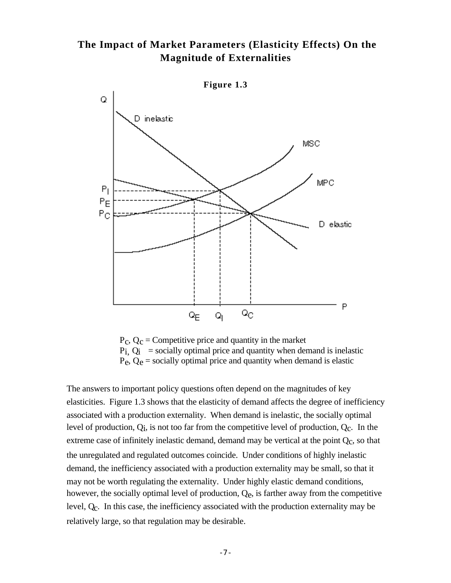# **The Impact of Market Parameters (Elasticity Effects) On the Magnitude of Externalities**



 $P_c$ ,  $Q_c$  = Competitive price and quantity in the market  $P_i$ ,  $Q_i$  = socially optimal price and quantity when demand is inelastic  $P_e$ ,  $Q_e$  = socially optimal price and quantity when demand is elastic

The answers to important policy questions often depend on the magnitudes of key elasticities. Figure 1.3 shows that the elasticity of demand affects the degree of inefficiency associated with a production externality. When demand is inelastic, the socially optimal level of production,  $Q_i$ , is not too far from the competitive level of production,  $Q_c$ . In the extreme case of infinitely inelastic demand, demand may be vertical at the point  $Q<sub>c</sub>$ , so that the unregulated and regulated outcomes coincide. Under conditions of highly inelastic demand, the inefficiency associated with a production externality may be small, so that it may not be worth regulating the externality. Under highly elastic demand conditions, however, the socially optimal level of production,  $Q_e$ , is farther away from the competitive level, Qc. In this case, the inefficiency associated with the production externality may be relatively large, so that regulation may be desirable.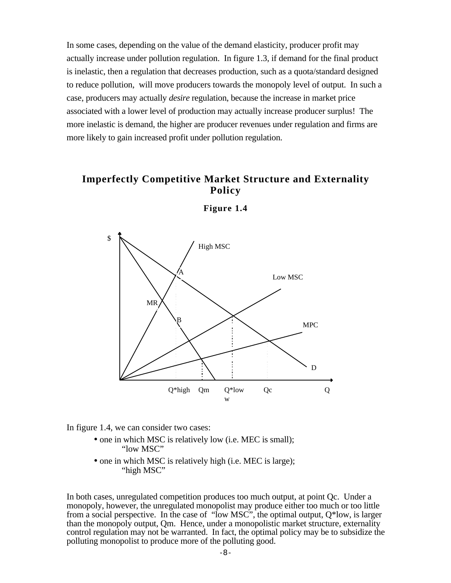In some cases, depending on the value of the demand elasticity, producer profit may actually increase under pollution regulation. In figure 1.3, if demand for the final product is inelastic, then a regulation that decreases production, such as a quota/standard designed to reduce pollution, will move producers towards the monopoly level of output. In such a case, producers may actually *desire* regulation, because the increase in market price associated with a lower level of production may actually increase producer surplus! The more inelastic is demand, the higher are producer revenues under regulation and firms are more likely to gain increased profit under pollution regulation.

# **Imperfectly Competitive Market Structure and Externality Policy**



**Figure 1.4**

In figure 1.4, we can consider two cases:

- one in which MSC is relatively low (i.e. MEC is small); "low MSC"
- one in which MSC is relatively high (i.e. MEC is large); "high MSC"

In both cases, unregulated competition produces too much output, at point Qc. Under a monopoly, however, the unregulated monopolist may produce either too much or too little from a social perspective. In the case of "low MSC", the optimal output, Q\*low, is larger than the monopoly output, Qm. Hence, under a monopolistic market structure, externality control regulation may not be warranted. In fact, the optimal policy may be to subsidize the polluting monopolist to produce more of the polluting good.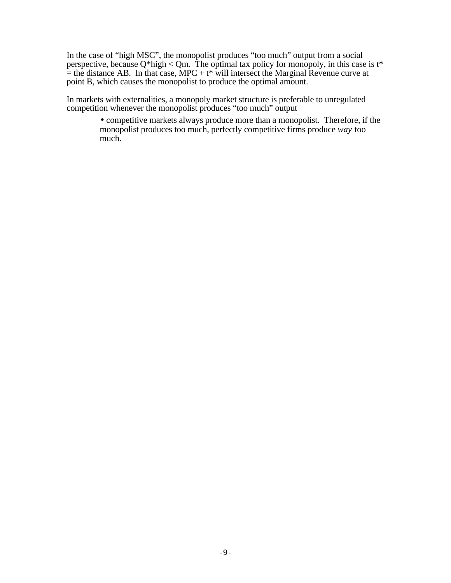In the case of "high MSC", the monopolist produces "too much" output from a social perspective, because  $Q^*$ high  $\lt Qm$ . The optimal tax policy for monopoly, in this case is t\*  $=$  the distance AB. In that case, MPC + t\* will intersect the Marginal Revenue curve at point B, which causes the monopolist to produce the optimal amount.

In markets with externalities, a monopoly market structure is preferable to unregulated competition whenever the monopolist produces "too much" output

> • competitive markets always produce more than a monopolist. Therefore, if the monopolist produces too much, perfectly competitive firms produce *way* too much.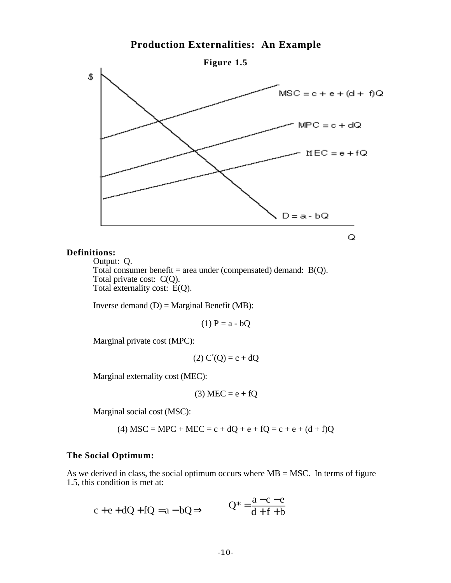# **Production Externalities: An Example**



#### **Definitions:**

Output: Q. Total consumer benefit = area under (compensated) demand:  $B(Q)$ . Total private cost: C(Q). Total externality cost:  $\widetilde{E}(Q)$ .

Inverse demand  $(D) =$  Marginal Benefit (MB):

$$
(1) P = a - bQ
$$

Marginal private cost (MPC):

$$
(2) C (Q) = c + dQ
$$

Marginal externality cost (MEC):

$$
(3) MEC = e + fQ
$$

Marginal social cost (MSC):

(4) MSC = MPC + MEC =  $c + dQ + e + fQ = c + e + (d + f)Q$ 

#### **The Social Optimum:**

As we derived in class, the social optimum occurs where  $MB = MSC$ . In terms of figure 1.5, this condition is met at:

$$
c + e + dQ + fQ = a - bQ \t Q^* = \frac{a - c - e}{d + f + b}
$$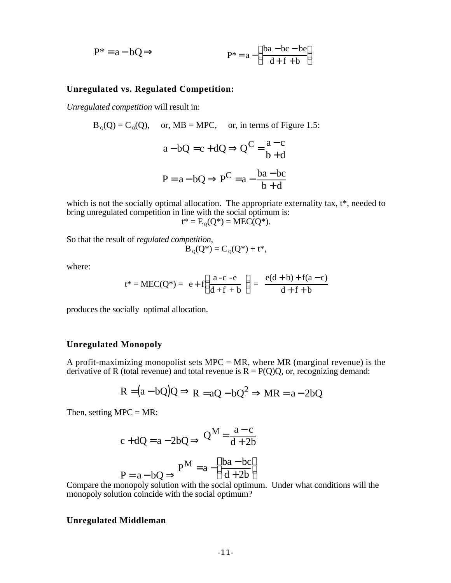$$
P^* = a - bQ
$$
  $P^* = a - \frac{ba - bc - be}{d + f + b}$ 

#### **Unregulated vs. Regulated Competition:**

*Unregulated competition* will result in:

$$
B_0(Q) = C_0(Q), \text{ or, } MB = MPC, \text{ or, in terms of Figure 1.5:}
$$
  

$$
a - bQ = c + dQ \qquad Q^C = \frac{a - c}{b + d}
$$
  

$$
P = a - bQ \qquad P^C = a - \frac{ba - bc}{b + d}
$$

which is not the socially optimal allocation. The appropriate externality tax,  $t^*$ , needed to bring unregulated competition in line with the social optimum is:

$$
t^* = E_Q(Q^*) = MEC(Q^*).
$$

So that the result of *regulated competition*,

$$
B_{Q}(Q^*) = C_{Q}(Q^*) + t^*,
$$

where:

$$
t^* = MEC(Q^*) = e + f \frac{a-c-e}{d+f+b} = \frac{e(d+b) + f(a-c)}{d+f+b}
$$

produces the socially optimal allocation.

#### **Unregulated Monopoly**

A profit-maximizing monopolist sets MPC = MR, where MR (marginal revenue) is the derivative of R (total revenue) and total revenue is  $R = P(Q)Q$ , or, recognizing demand:

$$
R = (a - bQ)Q \qquad R = aQ - bQ^2 \qquad MR = a - 2bQ
$$

Then, setting  $MPC = MR$ :

$$
c + dQ = a - 2bQ \qquad Q^M = \frac{a - c}{d + 2b}
$$

 $\ddot{\phantom{a}}$ 

$$
P = a - bQ \qquad P^M = a - \frac{ba - bc}{d + 2b}
$$

Compare the monopoly solution with the social optimum. Under what conditions will the monopoly solution coincide with the social optimum?

#### **Unregulated Middleman**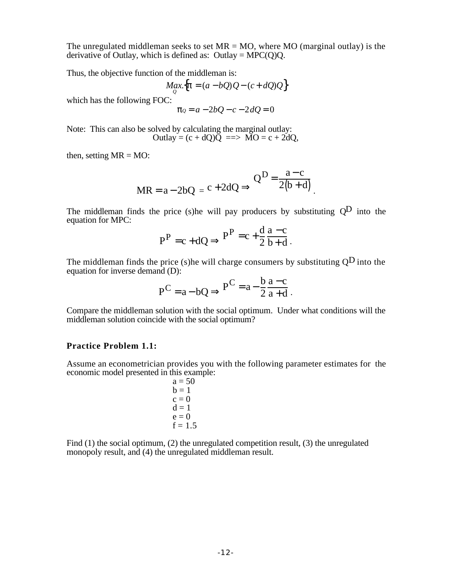The unregulated middleman seeks to set  $MR = MO$ , where MO (marginal outlay) is the derivative of Outlay, which is defined as: Outlay =  $MPC(Q)Q$ .

Thus, the objective function of the middleman is:

$$
Max_{Q} \{ = (a - bQ)Q - (c + dQ)Q \}
$$

which has the following FOC:

$$
Q = a - 2bQ - c - 2dQ = 0
$$

Note: This can also be solved by calculating the marginal outlay: Outlay =  $(c + dQ)\overline{Q}$  =  $\Rightarrow$   $\overline{MO}$  =  $c + 2dQ$ ,

then, setting  $MR = MO$ :

$$
MR = a - 2bQ = c + 2dQ
$$
  $Q^D = \frac{a - c}{2(b + d)}$ 

The middleman finds the price (s) he will pay producers by substituting  $Q<sup>D</sup>$  into the equation for MPC:

$$
PP = c + dQ \t PP = c + \frac{d}{2} \frac{a - c}{b + d}.
$$

The middleman finds the price (s) he will charge consumers by substituting  $Q<sup>D</sup>$  into the equation for inverse demand (D):  $\mathbf{1}$ 

$$
P^C = a - bQ \qquad P^C = a - \frac{b}{2} \frac{a - c}{a + d} \ .
$$

Compare the middleman solution with the social optimum. Under what conditions will the middleman solution coincide with the social optimum?

#### **Practice Problem 1.1:**

Assume an econometrician provides you with the following parameter estimates for the economic model presented in this example:

$$
a = 50\n b = 1\n c = 0\n d = 1\n e = 0\n f = 1.5
$$

Find (1) the social optimum, (2) the unregulated competition result, (3) the unregulated monopoly result, and (4) the unregulated middleman result.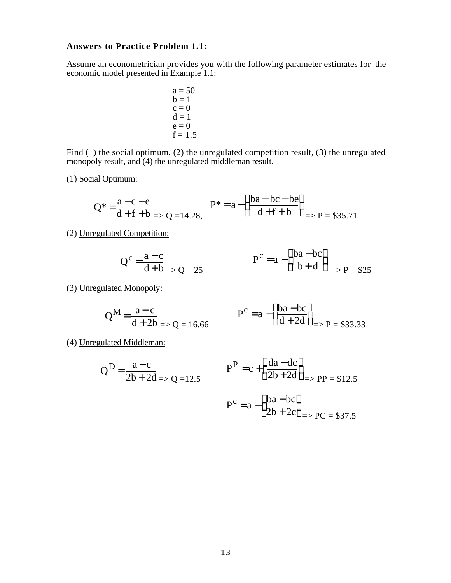# **Answers to Practice Problem 1.1:**

Assume an econometrician provides you with the following parameter estimates for the economic model presented in Example 1.1:

$$
a = 50\n b = 1\n c = 0\n d = 1\n e = 0\n f = 1.5
$$

Find (1) the social optimum, (2) the unregulated competition result, (3) the unregulated monopoly result, and (4) the unregulated middleman result.

(1) Social Optimum:

$$
Q^* = \frac{a - c - e}{d + f + b} \Rightarrow Q = 14.28, \qquad P^* = a - \frac{ba - bc - be}{d + f + b} \Rightarrow P = \$35.71
$$

(2) Unregulated Competition:

$$
Q^{c} = \frac{a - c}{d + b} = Q = 25
$$
\n
$$
P^{c} = a - \frac{ba - bc}{b + d} = Q = 25
$$

(3) Unregulated Monopoly:

$$
Q^{M} = \frac{a - c}{d + 2b} \Rightarrow Q = 16.66
$$
\n
$$
P^{C} = a - \frac{ba - bc}{d + 2d} \Rightarrow P = $33.33
$$

(4) Unregulated Middleman:

$$
Q^{D} = \frac{a-c}{2b+2d} \Rightarrow Q = 12.5
$$
\n
$$
P^{P} = c + \frac{da - dc}{2b+2d} \Rightarrow PP = $12.5
$$
\n
$$
P^{C} = a - \frac{ba - bc}{2b + 2c} \Rightarrow PC = $37.5
$$

 $\Rightarrow$  PC = \$37.5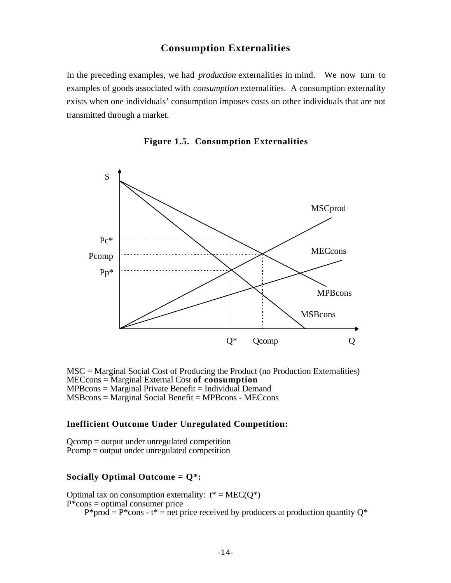# **Consumption Externalities**

In the preceding examples, we had *production* externalities in mind. We now turn to examples of goods associated with *consumption* externalities. A consumption externality exists when one individuals' consumption imposes costs on other individuals that are not transmitted through a market.





MSC = Marginal Social Cost of Producing the Product (no Production Externalities) MECcons = Marginal External Cost **of consumption**  $MPBcons = Marginal Private$  $Benefit = Individual Demand$ MSBcons = Marginal Social Benefit = MPBcons - MECcons

#### **Inefficient Outcome Under Unregulated Competition:**

Qcomp = output under unregulated competition Pcomp = output under unregulated competition

#### **Socially Optimal Outcome = Q\*:**

Optimal tax on consumption externality:  $t^* = MEC(O^*)$  $P^*$ cons = optimal consumer price  $P^*$ prod =  $P^*$ cons - t<sup>\*</sup> = net price received by producers at production quantity  $Q^*$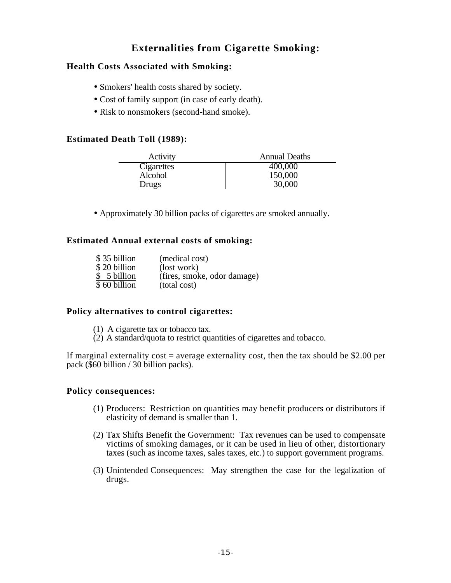# **Externalities from Cigarette Smoking:**

# **Health Costs Associated with Smoking:**

- Smokers' health costs shared by society.
- Cost of family support (in case of early death).
- Risk to nonsmokers (second-hand smoke).

# **Estimated Death Toll (1989):**

| Activity   | <b>Annual Deaths</b> |
|------------|----------------------|
| Cigarettes | 400,000              |
| Alcohol    | 150,000              |
| Drugs      | 30,000               |

• Approximately 30 billion packs of cigarettes are smoked annually.

# **Estimated Annual external costs of smoking:**

| \$35 billion | (medical cost)              |
|--------------|-----------------------------|
| \$20 billion | (lost work)                 |
| \$ 5 billion | (fires, smoke, odor damage) |
| \$60 billion | (total cost)                |

# **Policy alternatives to control cigarettes:**

- (1) A cigarette tax or tobacco tax.
- $(2)$  A standard/quota to restrict quantities of cigarettes and tobacco.

If marginal externality cost = average externality cost, then the tax should be \$2.00 per pack (\$60 billion / 30 billion packs).

# **Policy consequences:**

- (1) Producers: Restriction on quantities may benefit producers or distributors if elasticity of demand is smaller than 1.
- (2) Tax Shifts Benefit the Government: Tax revenues can be used to compensate victims of smoking damages, or it can be used in lieu of other, distortionary taxes (such as income taxes, sales taxes, etc.) to support government programs.
- (3) Unintended Consequences: May strengthen the case for the legalization of drugs.